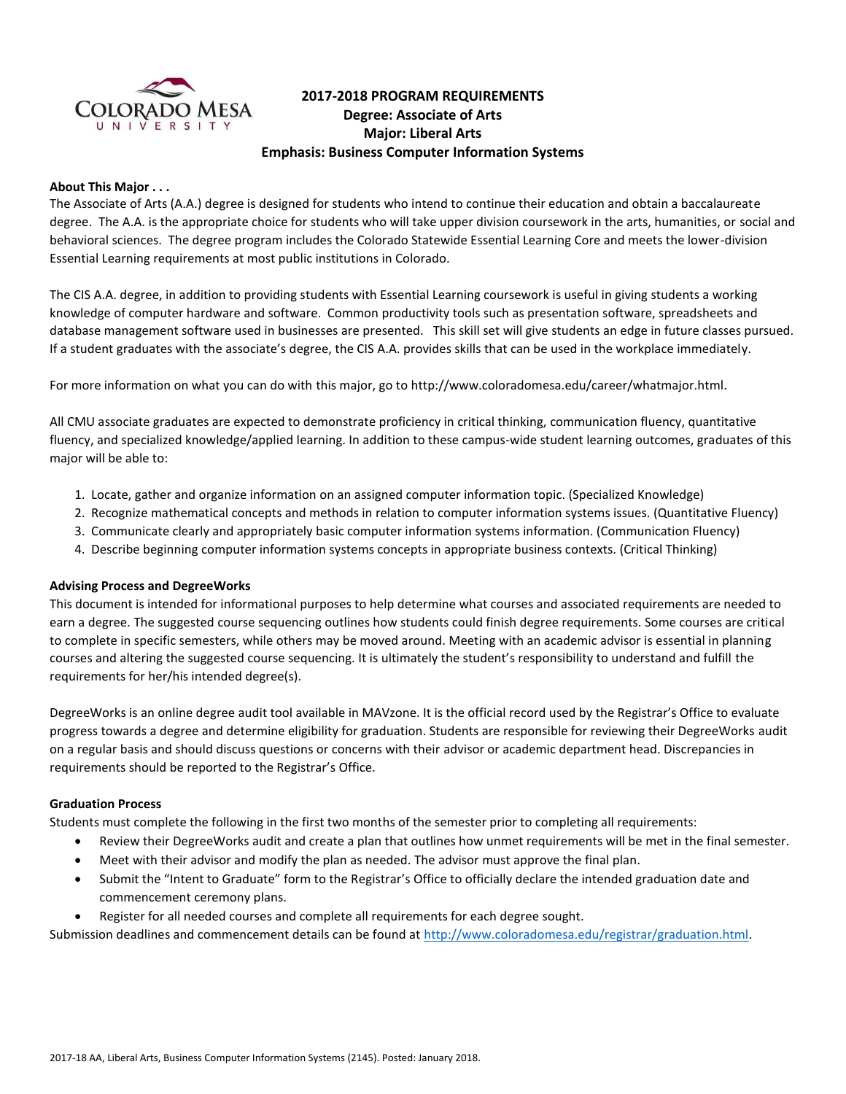

# **2017-2018 PROGRAM REQUIREMENTS Degree: Associate of Arts Major: Liberal Arts Emphasis: Business Computer Information Systems**

### **About This Major . . .**

The Associate of Arts (A.A.) degree is designed for students who intend to continue their education and obtain a baccalaureate degree. The A.A. is the appropriate choice for students who will take upper division coursework in the arts, humanities, or social and behavioral sciences. The degree program includes the Colorado Statewide Essential Learning Core and meets the lower-division Essential Learning requirements at most public institutions in Colorado.

The CIS A.A. degree, in addition to providing students with Essential Learning coursework is useful in giving students a working knowledge of computer hardware and software. Common productivity tools such as presentation software, spreadsheets and database management software used in businesses are presented. This skill set will give students an edge in future classes pursued. If a student graduates with the associate's degree, the CIS A.A. provides skills that can be used in the workplace immediately.

For more information on what you can do with this major, go to http://www.coloradomesa.edu/career/whatmajor.html.

All CMU associate graduates are expected to demonstrate proficiency in critical thinking, communication fluency, quantitative fluency, and specialized knowledge/applied learning. In addition to these campus-wide student learning outcomes, graduates of this major will be able to:

- 1. Locate, gather and organize information on an assigned computer information topic. (Specialized Knowledge)
- 2. Recognize mathematical concepts and methods in relation to computer information systems issues. (Quantitative Fluency)
- 3. Communicate clearly and appropriately basic computer information systems information. (Communication Fluency)
- 4. Describe beginning computer information systems concepts in appropriate business contexts. (Critical Thinking)

#### **Advising Process and DegreeWorks**

This document is intended for informational purposes to help determine what courses and associated requirements are needed to earn a degree. The suggested course sequencing outlines how students could finish degree requirements. Some courses are critical to complete in specific semesters, while others may be moved around. Meeting with an academic advisor is essential in planning courses and altering the suggested course sequencing. It is ultimately the student's responsibility to understand and fulfill the requirements for her/his intended degree(s).

DegreeWorks is an online degree audit tool available in MAVzone. It is the official record used by the Registrar's Office to evaluate progress towards a degree and determine eligibility for graduation. Students are responsible for reviewing their DegreeWorks audit on a regular basis and should discuss questions or concerns with their advisor or academic department head. Discrepancies in requirements should be reported to the Registrar's Office.

#### **Graduation Process**

Students must complete the following in the first two months of the semester prior to completing all requirements:

- Review their DegreeWorks audit and create a plan that outlines how unmet requirements will be met in the final semester.
- Meet with their advisor and modify the plan as needed. The advisor must approve the final plan.
- Submit the "Intent to Graduate" form to the Registrar's Office to officially declare the intended graduation date and commencement ceremony plans.
- Register for all needed courses and complete all requirements for each degree sought.

Submission deadlines and commencement details can be found at [http://www.coloradomesa.edu/registrar/graduation.html.](http://www.coloradomesa.edu/registrar/graduation.html)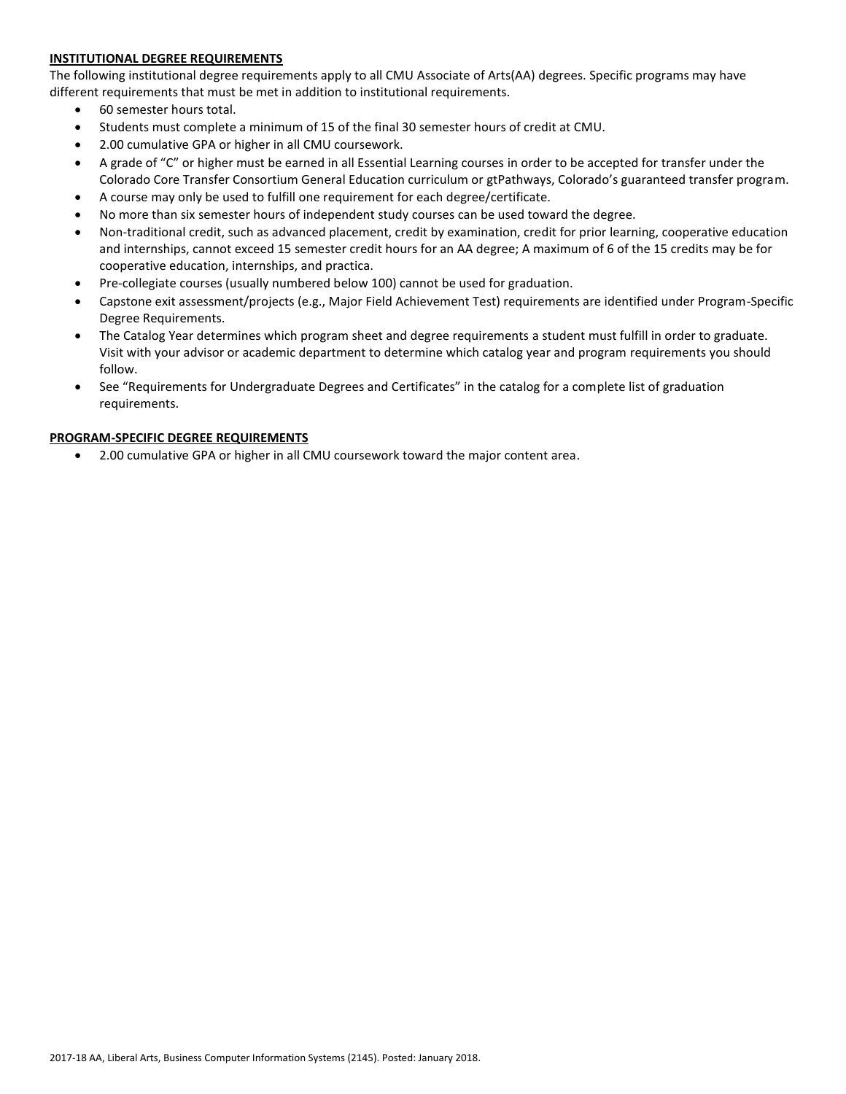### **INSTITUTIONAL DEGREE REQUIREMENTS**

The following institutional degree requirements apply to all CMU Associate of Arts(AA) degrees. Specific programs may have different requirements that must be met in addition to institutional requirements.

- 60 semester hours total.
- Students must complete a minimum of 15 of the final 30 semester hours of credit at CMU.
- 2.00 cumulative GPA or higher in all CMU coursework.
- A grade of "C" or higher must be earned in all Essential Learning courses in order to be accepted for transfer under the Colorado Core Transfer Consortium General Education curriculum or gtPathways, Colorado's guaranteed transfer program.
- A course may only be used to fulfill one requirement for each degree/certificate.
- No more than six semester hours of independent study courses can be used toward the degree.
- Non-traditional credit, such as advanced placement, credit by examination, credit for prior learning, cooperative education and internships, cannot exceed 15 semester credit hours for an AA degree; A maximum of 6 of the 15 credits may be for cooperative education, internships, and practica.
- Pre-collegiate courses (usually numbered below 100) cannot be used for graduation.
- Capstone exit assessment/projects (e.g., Major Field Achievement Test) requirements are identified under Program-Specific Degree Requirements.
- The Catalog Year determines which program sheet and degree requirements a student must fulfill in order to graduate. Visit with your advisor or academic department to determine which catalog year and program requirements you should follow.
- See "Requirements for Undergraduate Degrees and Certificates" in the catalog for a complete list of graduation requirements.

### **PROGRAM-SPECIFIC DEGREE REQUIREMENTS**

2.00 cumulative GPA or higher in all CMU coursework toward the major content area.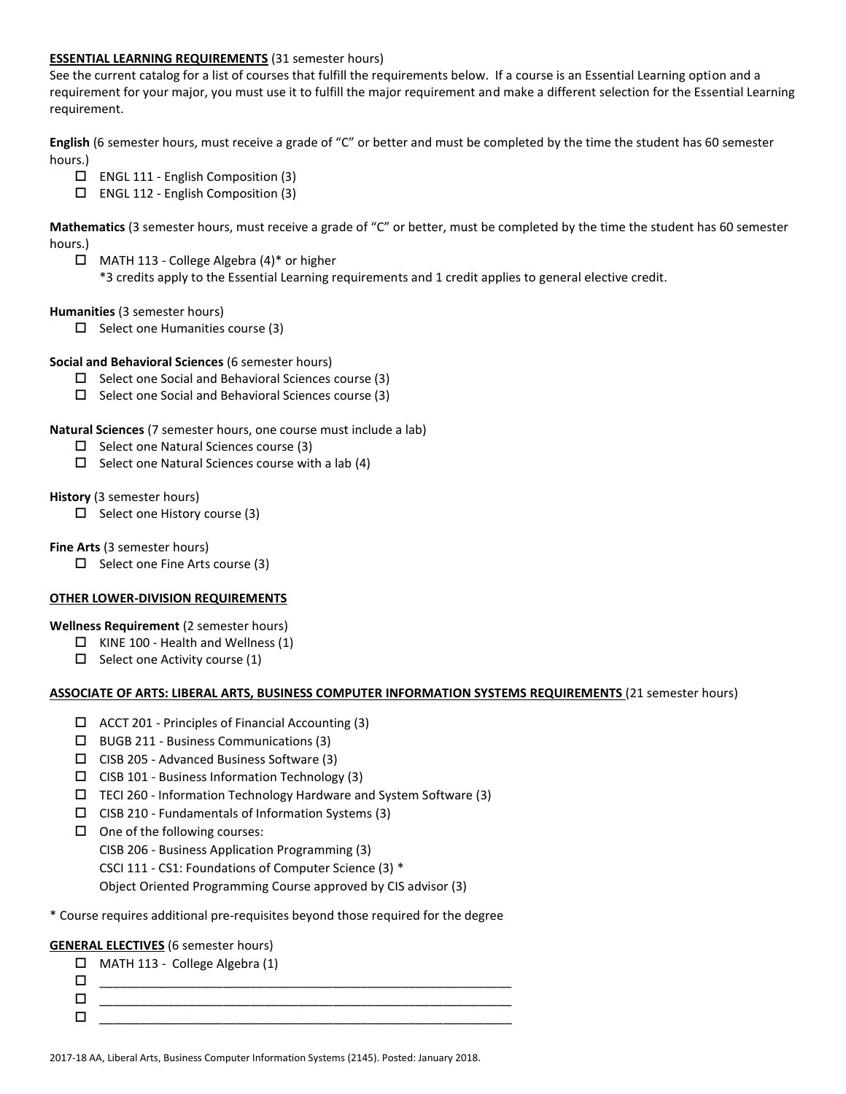#### **ESSENTIAL LEARNING REQUIREMENTS** (31 semester hours)

See the current catalog for a list of courses that fulfill the requirements below. If a course is an Essential Learning option and a requirement for your major, you must use it to fulfill the major requirement and make a different selection for the Essential Learning requirement.

**English** (6 semester hours, must receive a grade of "C" or better and must be completed by the time the student has 60 semester hours.)

- $\Box$  ENGL 111 English Composition (3)
- ENGL 112 English Composition (3)

**Mathematics** (3 semester hours, must receive a grade of "C" or better, must be completed by the time the student has 60 semester hours.)

- $\Box$  MATH 113 College Algebra (4)\* or higher
	- \*3 credits apply to the Essential Learning requirements and 1 credit applies to general elective credit.

## **Humanities** (3 semester hours)

- $\Box$  Select one Humanities course (3)
- **Social and Behavioral Sciences** (6 semester hours)
	- $\Box$  Select one Social and Behavioral Sciences course (3)
	- $\square$  Select one Social and Behavioral Sciences course (3)

### **Natural Sciences** (7 semester hours, one course must include a lab)

- $\square$  Select one Natural Sciences course (3)
- $\Box$  Select one Natural Sciences course with a lab (4)

### **History** (3 semester hours)

 $\Box$  Select one History course (3)

**Fine Arts** (3 semester hours)

 $\Box$  Select one Fine Arts course (3)

## **OTHER LOWER-DIVISION REQUIREMENTS**

**Wellness Requirement** (2 semester hours)

- $\Box$  KINE 100 Health and Wellness (1)
- $\Box$  Select one Activity course (1)

#### **ASSOCIATE OF ARTS: LIBERAL ARTS, BUSINESS COMPUTER INFORMATION SYSTEMS REQUIREMENTS** (21 semester hours)

- $\Box$  ACCT 201 Principles of Financial Accounting (3)
- BUGB 211 Business Communications (3)
- $\Box$  CISB 205 Advanced Business Software (3)
- $\Box$  CISB 101 Business Information Technology (3)
- $\Box$  TECI 260 Information Technology Hardware and System Software (3)
- $\square$  CISB 210 Fundamentals of Information Systems (3)
- $\Box$  One of the following courses:

CISB 206 - Business Application Programming (3)

CSCI 111 - CS1: Foundations of Computer Science (3) \*

Object Oriented Programming Course approved by CIS advisor (3)

### \* Course requires additional pre-requisites beyond those required for the degree

## **GENERAL ELECTIVES** (6 semester hours)

| $\Box$ | MATH 113 - College Algebra (1) |
|--------|--------------------------------|
|        |                                |
|        |                                |
|        |                                |